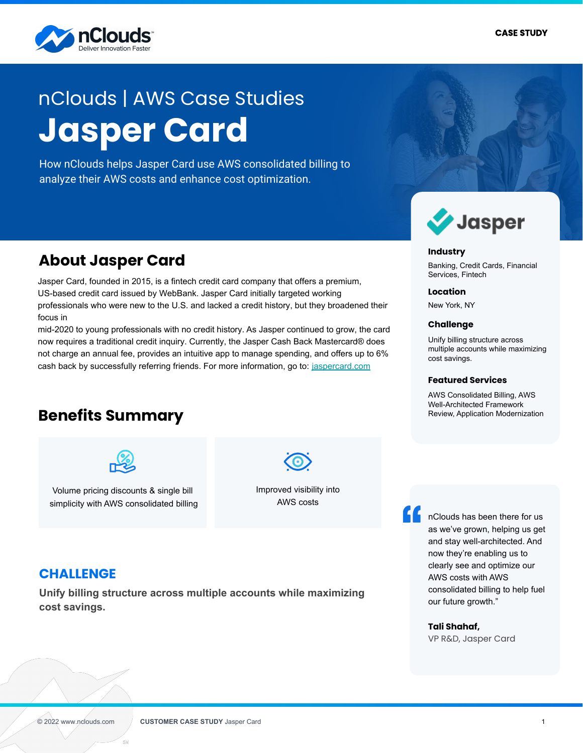

# **Jasper Card** nClouds | AWS Case Studies

How nClouds helps Jasper Card use AWS consolidated billing to analyze their AWS costs and enhance cost optimization.

## **About Jasper Card**

Jasper Card, founded in 2015, is a fintech credit card company that offers a premium, US-based credit card issued by WebBank. Jasper Card initially targeted working professionals who were new to the U.S. and lacked a credit history, but they broadened their focus in

mid-2020 to young professionals with no credit history. As Jasper continued to grow, the card now requires a traditional credit inquiry. Currently, the Jasper Cash Back Mastercard® does not charge an annual fee, provides an intuitive app to manage spending, and offers up to 6% cash back by successfully referring friends. For more information, go to: [jaspercard.com](https://www.jaspercard.com/)

# **Benefits Summary**



Volume pricing discounts & single bill simplicity with AWS consolidated billing

Improved visibility into AWS costs

### **CHALLENGE**

**Unify billing structure across multiple accounts while maximizing cost savings.**



#### **Industry**

Banking, Credit Cards, Financial Services, Fintech

**Location**

New York, NY

#### **Challenge**

Unify billing structure across multiple accounts while maximizing cost savings.

#### **Featured Services**

AWS Consolidated Billing, AWS Well-Architected Framework Review, Application Modernization

nClouds has been there for us as we've grown, helping us get and stay well-architected. And now they're enabling us to clearly see and optimize our AWS costs with AWS consolidated billing to help fuel our future growth."

#### **Tali Shahaf,**

VP R&D, Jasper Card